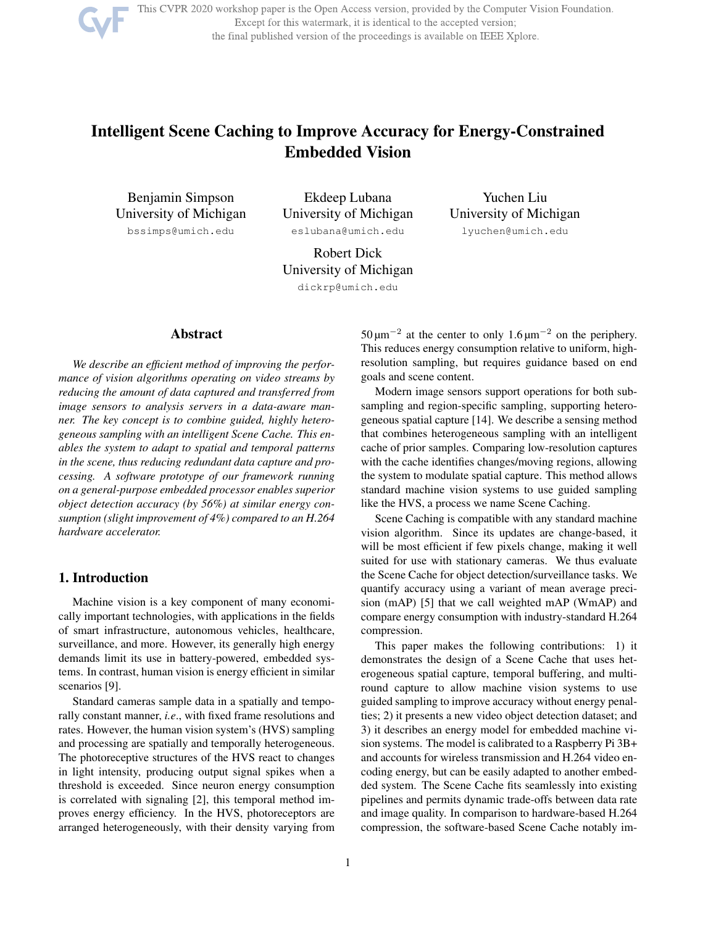

This CVPR 2020 workshop paper is the Open Access version, provided by the Computer Vision Foundation. Except for this watermark, it is identical to the accepted version; the final published version of the proceedings is available on IEEE Xplore.

# Intelligent Scene Caching to Improve Accuracy for Energy-Constrained Embedded Vision

Benjamin Simpson University of Michigan bssimps@umich.edu

Ekdeep Lubana University of Michigan eslubana@umich.edu

Yuchen Liu University of Michigan lyuchen@umich.edu

Robert Dick University of Michigan dickrp@umich.edu

# Abstract

*We describe an efficient method of improving the performance of vision algorithms operating on video streams by reducing the amount of data captured and transferred from image sensors to analysis servers in a data-aware manner. The key concept is to combine guided, highly heterogeneous sampling with an intelligent Scene Cache. This enables the system to adapt to spatial and temporal patterns in the scene, thus reducing redundant data capture and processing. A software prototype of our framework running on a general-purpose embedded processor enables superior object detection accuracy (by 56%) at similar energy consumption (slight improvement of 4%) compared to an H.264 hardware accelerator.*

# 1. Introduction

Machine vision is a key component of many economically important technologies, with applications in the fields of smart infrastructure, autonomous vehicles, healthcare, surveillance, and more. However, its generally high energy demands limit its use in battery-powered, embedded systems. In contrast, human vision is energy efficient in similar scenarios [9].

Standard cameras sample data in a spatially and temporally constant manner, *i.e*., with fixed frame resolutions and rates. However, the human vision system's (HVS) sampling and processing are spatially and temporally heterogeneous. The photoreceptive structures of the HVS react to changes in light intensity, producing output signal spikes when a threshold is exceeded. Since neuron energy consumption is correlated with signaling [2], this temporal method improves energy efficiency. In the HVS, photoreceptors are arranged heterogeneously, with their density varying from

50 μm<sup>-2</sup> at the center to only 1.6 μm<sup>-2</sup> on the periphery. This reduces energy consumption relative to uniform, highresolution sampling, but requires guidance based on end goals and scene content.

Modern image sensors support operations for both subsampling and region-specific sampling, supporting heterogeneous spatial capture [14]. We describe a sensing method that combines heterogeneous sampling with an intelligent cache of prior samples. Comparing low-resolution captures with the cache identifies changes/moving regions, allowing the system to modulate spatial capture. This method allows standard machine vision systems to use guided sampling like the HVS, a process we name Scene Caching.

Scene Caching is compatible with any standard machine vision algorithm. Since its updates are change-based, it will be most efficient if few pixels change, making it well suited for use with stationary cameras. We thus evaluate the Scene Cache for object detection/surveillance tasks. We quantify accuracy using a variant of mean average precision (mAP) [5] that we call weighted mAP (WmAP) and compare energy consumption with industry-standard H.264 compression.

This paper makes the following contributions: 1) it demonstrates the design of a Scene Cache that uses heterogeneous spatial capture, temporal buffering, and multiround capture to allow machine vision systems to use guided sampling to improve accuracy without energy penalties; 2) it presents a new video object detection dataset; and 3) it describes an energy model for embedded machine vision systems. The model is calibrated to a Raspberry Pi 3B+ and accounts for wireless transmission and H.264 video encoding energy, but can be easily adapted to another embedded system. The Scene Cache fits seamlessly into existing pipelines and permits dynamic trade-offs between data rate and image quality. In comparison to hardware-based H.264 compression, the software-based Scene Cache notably im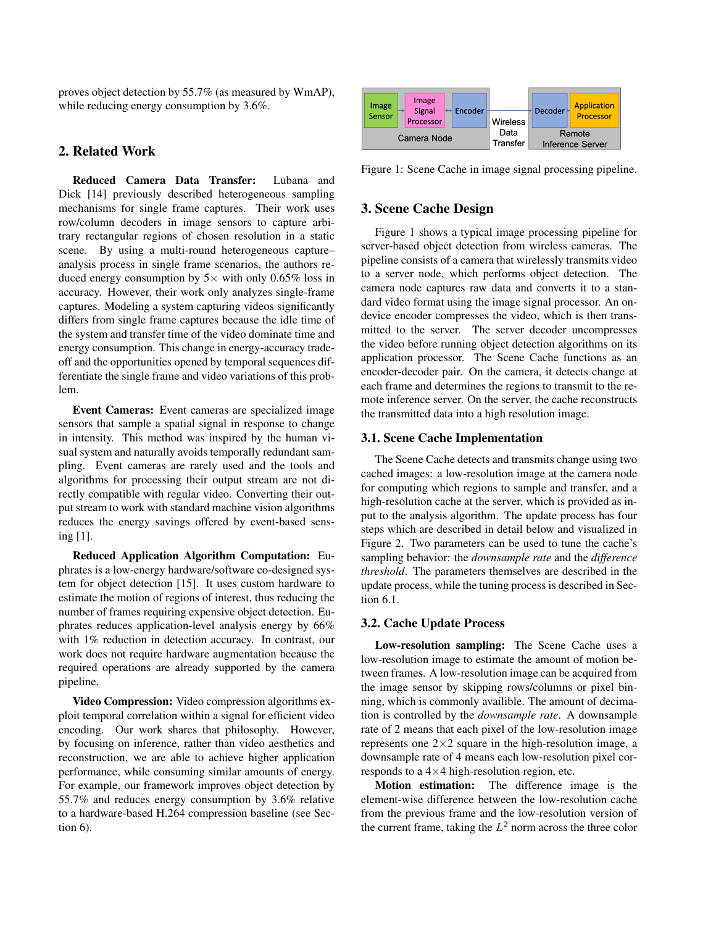proves object detection by 55.7% (as measured by WmAP), while reducing energy consumption by 3.6%.

# 2. Related Work

Reduced Camera Data Transfer: Lubana and Dick [14] previously described heterogeneous sampling mechanisms for single frame captures. Their work uses row/column decoders in image sensors to capture arbitrary rectangular regions of chosen resolution in a static scene. By using a multi-round heterogeneous capture– analysis process in single frame scenarios, the authors reduced energy consumption by  $5\times$  with only 0.65% loss in accuracy. However, their work only analyzes single-frame captures. Modeling a system capturing videos significantly differs from single frame captures because the idle time of the system and transfer time of the video dominate time and energy consumption. This change in energy-accuracy tradeoff and the opportunities opened by temporal sequences differentiate the single frame and video variations of this problem.

Event Cameras: Event cameras are specialized image sensors that sample a spatial signal in response to change in intensity. This method was inspired by the human visual system and naturally avoids temporally redundant sampling. Event cameras are rarely used and the tools and algorithms for processing their output stream are not directly compatible with regular video. Converting their output stream to work with standard machine vision algorithms reduces the energy savings offered by event-based sensing [1].

Reduced Application Algorithm Computation: Euphrates is a low-energy hardware/software co-designed system for object detection [15]. It uses custom hardware to estimate the motion of regions of interest, thus reducing the number of frames requiring expensive object detection. Euphrates reduces application-level analysis energy by 66% with 1% reduction in detection accuracy. In contrast, our work does not require hardware augmentation because the required operations are already supported by the camera pipeline.

Video Compression: Video compression algorithms exploit temporal correlation within a signal for efficient video encoding. Our work shares that philosophy. However, by focusing on inference, rather than video aesthetics and reconstruction, we are able to achieve higher application performance, while consuming similar amounts of energy. For example, our framework improves object detection by 55.7% and reduces energy consumption by 3.6% relative to a hardware-based H.264 compression baseline (see Section 6).



Figure 1: Scene Cache in image signal processing pipeline.

#### 3. Scene Cache Design

Figure 1 shows a typical image processing pipeline for server-based object detection from wireless cameras. The pipeline consists of a camera that wirelessly transmits video to a server node, which performs object detection. The camera node captures raw data and converts it to a standard video format using the image signal processor. An ondevice encoder compresses the video, which is then transmitted to the server. The server decoder uncompresses the video before running object detection algorithms on its application processor. The Scene Cache functions as an encoder-decoder pair. On the camera, it detects change at each frame and determines the regions to transmit to the remote inference server. On the server, the cache reconstructs the transmitted data into a high resolution image.

#### 3.1. Scene Cache Implementation

The Scene Cache detects and transmits change using two cached images: a low-resolution image at the camera node for computing which regions to sample and transfer, and a high-resolution cache at the server, which is provided as input to the analysis algorithm. The update process has four steps which are described in detail below and visualized in Figure 2. Two parameters can be used to tune the cache's sampling behavior: the *downsample rate* and the *difference threshold*. The parameters themselves are described in the update process, while the tuning process is described in Section 6.1.

#### 3.2. Cache Update Process

Low-resolution sampling: The Scene Cache uses a low-resolution image to estimate the amount of motion between frames. A low-resolution image can be acquired from the image sensor by skipping rows/columns or pixel binning, which is commonly availible. The amount of decimation is controlled by the *downsample rate*. A downsample rate of 2 means that each pixel of the low-resolution image represents one  $2\times 2$  square in the high-resolution image, a downsample rate of 4 means each low-resolution pixel corresponds to a  $4\times4$  high-resolution region, etc.

Motion estimation: The difference image is the element-wise difference between the low-resolution cache from the previous frame and the low-resolution version of the current frame, taking the  $L^2$  norm across the three color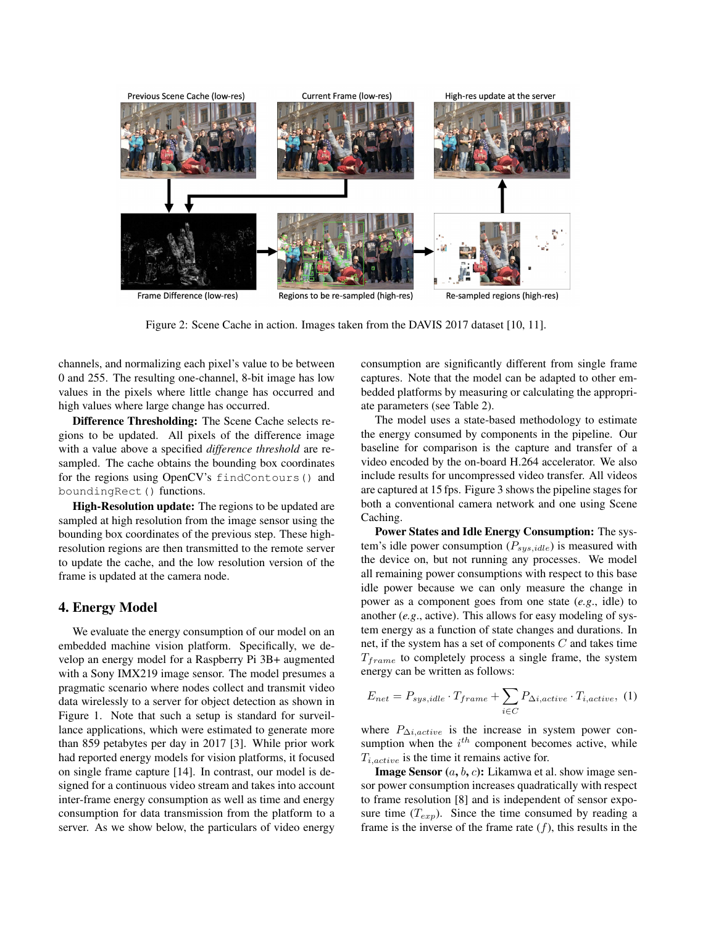

Figure 2: Scene Cache in action. Images taken from the DAVIS 2017 dataset [10, 11].

channels, and normalizing each pixel's value to be between 0 and 255. The resulting one-channel, 8-bit image has low values in the pixels where little change has occurred and high values where large change has occurred.

Difference Thresholding: The Scene Cache selects regions to be updated. All pixels of the difference image with a value above a specified *difference threshold* are resampled. The cache obtains the bounding box coordinates for the regions using OpenCV's findContours() and boundingRect() functions.

High-Resolution update: The regions to be updated are sampled at high resolution from the image sensor using the bounding box coordinates of the previous step. These highresolution regions are then transmitted to the remote server to update the cache, and the low resolution version of the frame is updated at the camera node.

## 4. Energy Model

We evaluate the energy consumption of our model on an embedded machine vision platform. Specifically, we develop an energy model for a Raspberry Pi 3B+ augmented with a Sony IMX219 image sensor. The model presumes a pragmatic scenario where nodes collect and transmit video data wirelessly to a server for object detection as shown in Figure 1. Note that such a setup is standard for surveillance applications, which were estimated to generate more than 859 petabytes per day in 2017 [3]. While prior work had reported energy models for vision platforms, it focused on single frame capture [14]. In contrast, our model is designed for a continuous video stream and takes into account inter-frame energy consumption as well as time and energy consumption for data transmission from the platform to a server. As we show below, the particulars of video energy

consumption are significantly different from single frame captures. Note that the model can be adapted to other embedded platforms by measuring or calculating the appropriate parameters (see Table 2).

The model uses a state-based methodology to estimate the energy consumed by components in the pipeline. Our baseline for comparison is the capture and transfer of a video encoded by the on-board H.264 accelerator. We also include results for uncompressed video transfer. All videos are captured at 15 fps. Figure 3 shows the pipeline stages for both a conventional camera network and one using Scene Caching.

Power States and Idle Energy Consumption: The system's idle power consumption ( $P_{sys,idle}$ ) is measured with the device on, but not running any processes. We model all remaining power consumptions with respect to this base idle power because we can only measure the change in power as a component goes from one state (*e.g*., idle) to another (*e.g*., active). This allows for easy modeling of system energy as a function of state changes and durations. In net, if the system has a set of components  $C$  and takes time  $T_{frame}$  to completely process a single frame, the system energy can be written as follows:

$$
E_{net} = P_{sys, idle} \cdot T_{frame} + \sum_{i \in C} P_{\Delta i,active} \cdot T_{i,active}, \tag{1}
$$

where  $P_{\Delta i,active}$  is the increase in system power consumption when the  $i^{th}$  component becomes active, while  $T_{i,active}$  is the time it remains active for.

**Image Sensor**  $(a, b, c)$ : Likamwa et al. show image sensor power consumption increases quadratically with respect to frame resolution [8] and is independent of sensor exposure time  $(T_{exp})$ . Since the time consumed by reading a frame is the inverse of the frame rate  $(f)$ , this results in the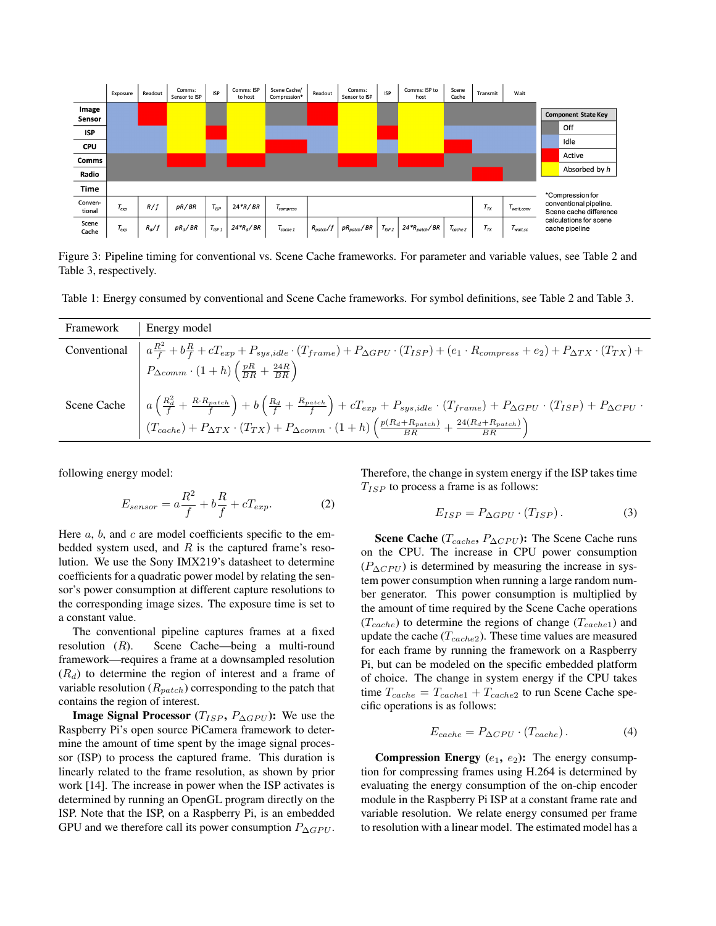

Figure 3: Pipeline timing for conventional vs. Scene Cache frameworks. For parameter and variable values, see Table 2 and Table 3, respectively.

Table 1: Energy consumed by conventional and Scene Cache frameworks. For symbol definitions, see Table 2 and Table 3.

| Framework | Energy model                                                                                                                                                                                                                                                                                                                                                                             |
|-----------|------------------------------------------------------------------------------------------------------------------------------------------------------------------------------------------------------------------------------------------------------------------------------------------------------------------------------------------------------------------------------------------|
|           | Conventional $a\frac{R^2}{f}+b\frac{R}{f}+cT_{exp}+P_{sys,idle}\cdot(T_{frame})+P_{\Delta GPU}\cdot(T_{ISP})+(e_1\cdot R_{compress}+e_2)+P_{\Delta TX}\cdot(T_{TX})+$                                                                                                                                                                                                                    |
|           | $P_{\Delta comm} \cdot (1+h) \left(\frac{pR}{BR} + \frac{24R}{BR}\right)$                                                                                                                                                                                                                                                                                                                |
|           | Scene Cache $a\left(\frac{R_d^2}{f} + \frac{R \cdot R_{patch}}{f}\right) + b\left(\frac{R_d}{f} + \frac{R_{patch}}{f}\right) + cT_{exp} + P_{sys,idle} \cdot (T_{frame}) + P_{\Delta GPU} \cdot (T_{ISP}) + P_{\Delta CPU} \cdot (T_{cache}) + P_{\Delta TX} \cdot (T_{TX}) + P_{\Delta comm} \cdot (1 + h) \left(\frac{p(R_d + R_{patch})}{BR} + \frac{24(R_d + R_{patch})}{BR}\right)$ |

following energy model:

$$
E_{sensor} = a\frac{R^2}{f} + b\frac{R}{f} + cT_{exp}.
$$
 (2)

Here  $a, b$ , and  $c$  are model coefficients specific to the embedded system used, and  $R$  is the captured frame's resolution. We use the Sony IMX219's datasheet to determine coefficients for a quadratic power model by relating the sensor's power consumption at different capture resolutions to the corresponding image sizes. The exposure time is set to a constant value.

The conventional pipeline captures frames at a fixed resolution (R). Scene Cache—being a multi-round framework—requires a frame at a downsampled resolution  $(R_d)$  to determine the region of interest and a frame of variable resolution  $(R_{patch})$  corresponding to the patch that contains the region of interest.

**Image Signal Processor** ( $T_{ISP}$ ,  $P_{\Delta GPU}$ ): We use the Raspberry Pi's open source PiCamera framework to determine the amount of time spent by the image signal processor (ISP) to process the captured frame. This duration is linearly related to the frame resolution, as shown by prior work [14]. The increase in power when the ISP activates is determined by running an OpenGL program directly on the ISP. Note that the ISP, on a Raspberry Pi, is an embedded GPU and we therefore call its power consumption  $P_{\Delta GPU}$ .

Therefore, the change in system energy if the ISP takes time  $T_{ISP}$  to process a frame is as follows:

$$
E_{ISP} = P_{\Delta GPU} \cdot (T_{ISP}).\tag{3}
$$

Scene Cache ( $T_{cache}$ ,  $P_{\Delta CPU}$ ): The Scene Cache runs on the CPU. The increase in CPU power consumption  $(P_{\Delta CPU})$  is determined by measuring the increase in system power consumption when running a large random number generator. This power consumption is multiplied by the amount of time required by the Scene Cache operations  $(T_{cache})$  to determine the regions of change  $(T_{cache1})$  and update the cache  $(T_{cache2})$ . These time values are measured for each frame by running the framework on a Raspberry Pi, but can be modeled on the specific embedded platform of choice. The change in system energy if the CPU takes time  $T_{cache} = T_{cache1} + T_{cache2}$  to run Scene Cache specific operations is as follows:

$$
E_{cache} = P_{\Delta CPU} \cdot (T_{cache}) \,. \tag{4}
$$

Compression Energy  $(e_1, e_2)$ : The energy consumption for compressing frames using H.264 is determined by evaluating the energy consumption of the on-chip encoder module in the Raspberry Pi ISP at a constant frame rate and variable resolution. We relate energy consumed per frame to resolution with a linear model. The estimated model has a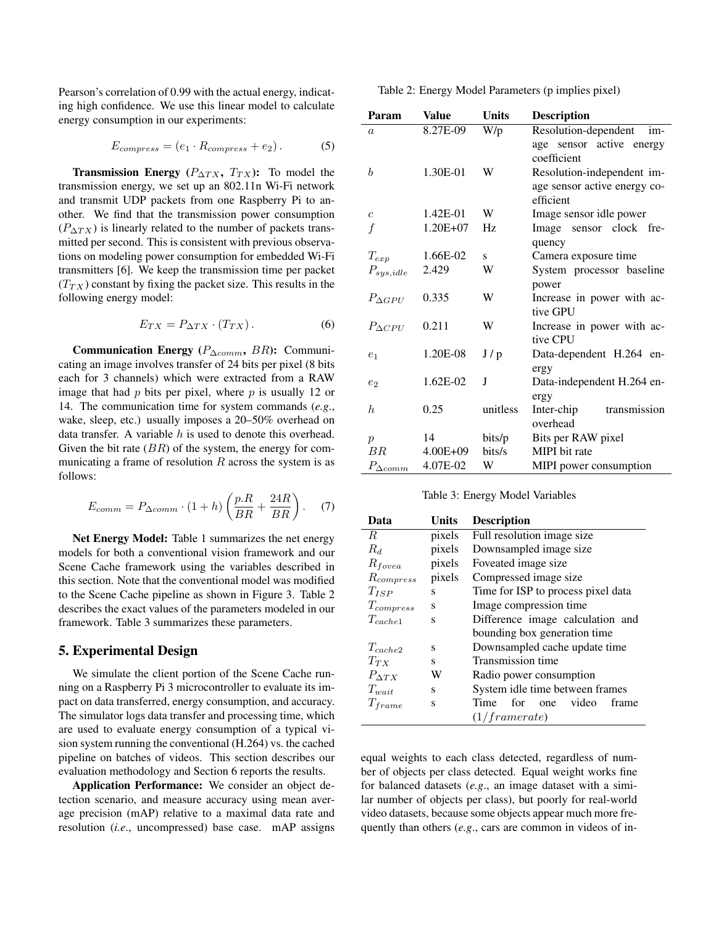Pearson's correlation of 0.99 with the actual energy, indicating high confidence. We use this linear model to calculate energy consumption in our experiments:

$$
E_{compress} = (e_1 \cdot R_{compress} + e_2). \tag{5}
$$

**Transmission Energy** ( $P_{\Delta TX}$ ,  $T_{TX}$ ): To model the transmission energy, we set up an 802.11n Wi-Fi network and transmit UDP packets from one Raspberry Pi to another. We find that the transmission power consumption  $(P_{\Delta TX})$  is linearly related to the number of packets transmitted per second. This is consistent with previous observations on modeling power consumption for embedded Wi-Fi transmitters [6]. We keep the transmission time per packet  $(T_{TX})$  constant by fixing the packet size. This results in the following energy model:

$$
E_{TX} = P_{\Delta TX} \cdot (T_{TX}) \,. \tag{6}
$$

Communication Energy ( $P_{\Delta comm}$ , BR): Communicating an image involves transfer of 24 bits per pixel (8 bits each for 3 channels) which were extracted from a RAW image that had  $p$  bits per pixel, where  $p$  is usually 12 or 14. The communication time for system commands (*e.g*., wake, sleep, etc.) usually imposes a 20–50% overhead on data transfer. A variable  $h$  is used to denote this overhead. Given the bit rate  $(BR)$  of the system, the energy for communicating a frame of resolution  $R$  across the system is as follows:

$$
E_{comm} = P_{\Delta comm} \cdot (1+h) \left( \frac{p.R}{BR} + \frac{24R}{BR} \right). \tag{7}
$$

Net Energy Model: Table 1 summarizes the net energy models for both a conventional vision framework and our Scene Cache framework using the variables described in this section. Note that the conventional model was modified to the Scene Cache pipeline as shown in Figure 3. Table 2 describes the exact values of the parameters modeled in our framework. Table 3 summarizes these parameters.

#### 5. Experimental Design

We simulate the client portion of the Scene Cache running on a Raspberry Pi 3 microcontroller to evaluate its impact on data transferred, energy consumption, and accuracy. The simulator logs data transfer and processing time, which are used to evaluate energy consumption of a typical vision system running the conventional (H.264) vs. the cached pipeline on batches of videos. This section describes our evaluation methodology and Section 6 reports the results.

Application Performance: We consider an object detection scenario, and measure accuracy using mean average precision (mAP) relative to a maximal data rate and resolution (*i.e*., uncompressed) base case. mAP assigns

Table 2: Energy Model Parameters (p implies pixel)

| Param             | Value        | <b>Units</b> | <b>Description</b>           |
|-------------------|--------------|--------------|------------------------------|
| $\alpha$          | 8.27E-09     | W/p          | Resolution-dependent<br>im-  |
|                   |              |              | age sensor active energy     |
|                   |              |              | coefficient                  |
| b                 | 1.30E-01     | W            | Resolution-independent im-   |
|                   |              |              | age sensor active energy co- |
|                   |              |              | efficient                    |
| $\overline{c}$    | 1.42E-01     | W            | Image sensor idle power      |
| f                 | 1.20E+07     | Hz           | Image sensor clock fre-      |
|                   |              |              | quency                       |
| $T_{exp}$         | 1.66E-02     | S            | Camera exposure time         |
| $P_{sys,idle}$    | 2.429        | W            | System processor baseline    |
|                   |              |              | power                        |
| $P_{\Delta GPII}$ | 0.335        | W            | Increase in power with ac-   |
|                   |              |              | tive GPU                     |
| $P_{\Delta CPII}$ | 0.211        | W            | Increase in power with ac-   |
|                   |              |              | tive CPU                     |
| e <sub>1</sub>    | 1.20E-08     | J/p          | Data-dependent H.264 en-     |
|                   |              |              | ergy                         |
| e <sub>2</sub>    | 1.62E-02     | J            | Data-independent H.264 en-   |
|                   |              |              | ergy                         |
| h.                | 0.25         | unitless     | Inter-chip<br>transmission   |
|                   |              |              | overhead                     |
| $\mathcal{p}$     | 14           | bits/p       | Bits per RAW pixel           |
| BR                | $4.00E + 09$ | bits/s       | MIPI bit rate                |
| $P_{\Delta comm}$ | 4.07E-02     | W            | MIPI power consumption       |

Table 3: Energy Model Variables

| Data             | Units  | <b>Description</b>                   |
|------------------|--------|--------------------------------------|
| R                | pixels | Full resolution image size           |
| $R_d$            | pixels | Downsampled image size               |
| $R_{fovea}$      | pixels | Foveated image size.                 |
| $R_{compress}$   | pixels | Compressed image size                |
| $T_{ISP}$        | S      | Time for ISP to process pixel data   |
| $T_{compress}$   | S      | Image compression time               |
| $T_{cache1}$     | S      | Difference image calculation and     |
|                  |        | bounding box generation time         |
| $T_{cache2}$     | S      | Downsampled cache update time        |
| $T_{TX}$         | S      | Transmission time                    |
| $P_{\Lambda TX}$ | W      | Radio power consumption              |
| $T_{wait}$       | S      | System idle time between frames      |
| $T_{frame}$      | S      | for<br>video<br>Time<br>frame<br>one |
|                  |        | (1/framerate)                        |

equal weights to each class detected, regardless of number of objects per class detected. Equal weight works fine for balanced datasets (*e.g*., an image dataset with a similar number of objects per class), but poorly for real-world video datasets, because some objects appear much more frequently than others (*e.g*., cars are common in videos of in-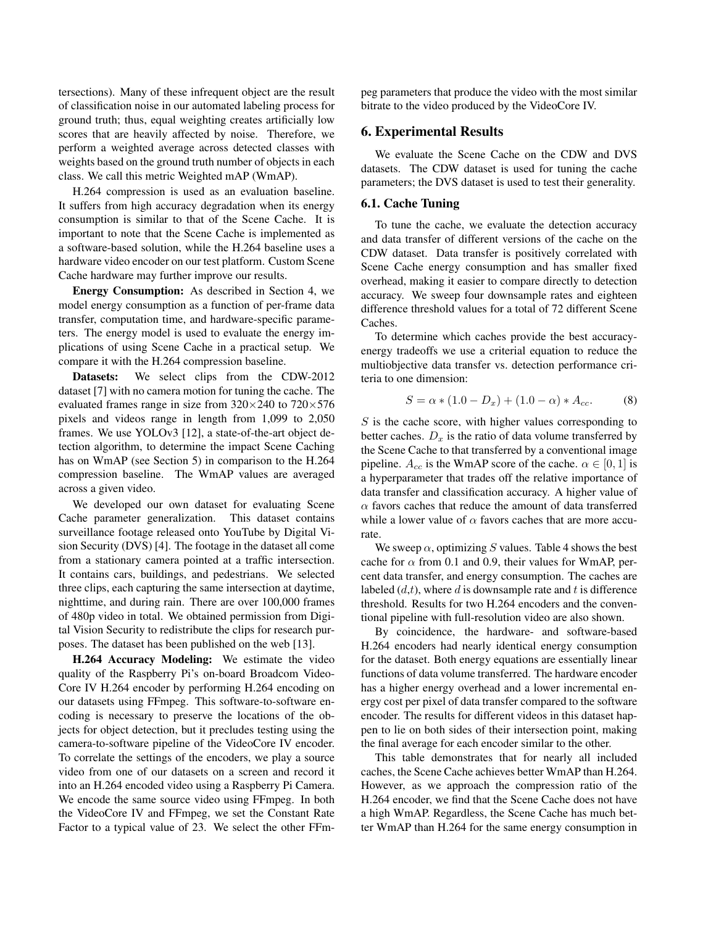tersections). Many of these infrequent object are the result of classification noise in our automated labeling process for ground truth; thus, equal weighting creates artificially low scores that are heavily affected by noise. Therefore, we perform a weighted average across detected classes with weights based on the ground truth number of objects in each class. We call this metric Weighted mAP (WmAP).

H.264 compression is used as an evaluation baseline. It suffers from high accuracy degradation when its energy consumption is similar to that of the Scene Cache. It is important to note that the Scene Cache is implemented as a software-based solution, while the H.264 baseline uses a hardware video encoder on our test platform. Custom Scene Cache hardware may further improve our results.

Energy Consumption: As described in Section 4, we model energy consumption as a function of per-frame data transfer, computation time, and hardware-specific parameters. The energy model is used to evaluate the energy implications of using Scene Cache in a practical setup. We compare it with the H.264 compression baseline.

Datasets: We select clips from the CDW-2012 dataset [7] with no camera motion for tuning the cache. The evaluated frames range in size from  $320 \times 240$  to  $720 \times 576$ pixels and videos range in length from 1,099 to 2,050 frames. We use YOLOv3 [12], a state-of-the-art object detection algorithm, to determine the impact Scene Caching has on WmAP (see Section 5) in comparison to the H.264 compression baseline. The WmAP values are averaged across a given video.

We developed our own dataset for evaluating Scene Cache parameter generalization. This dataset contains surveillance footage released onto YouTube by Digital Vision Security (DVS) [4]. The footage in the dataset all come from a stationary camera pointed at a traffic intersection. It contains cars, buildings, and pedestrians. We selected three clips, each capturing the same intersection at daytime, nighttime, and during rain. There are over 100,000 frames of 480p video in total. We obtained permission from Digital Vision Security to redistribute the clips for research purposes. The dataset has been published on the web [13].

H.264 Accuracy Modeling: We estimate the video quality of the Raspberry Pi's on-board Broadcom Video-Core IV H.264 encoder by performing H.264 encoding on our datasets using FFmpeg. This software-to-software encoding is necessary to preserve the locations of the objects for object detection, but it precludes testing using the camera-to-software pipeline of the VideoCore IV encoder. To correlate the settings of the encoders, we play a source video from one of our datasets on a screen and record it into an H.264 encoded video using a Raspberry Pi Camera. We encode the same source video using FFmpeg. In both the VideoCore IV and FFmpeg, we set the Constant Rate Factor to a typical value of 23. We select the other FFmpeg parameters that produce the video with the most similar bitrate to the video produced by the VideoCore IV.

## 6. Experimental Results

We evaluate the Scene Cache on the CDW and DVS datasets. The CDW dataset is used for tuning the cache parameters; the DVS dataset is used to test their generality.

#### 6.1. Cache Tuning

To tune the cache, we evaluate the detection accuracy and data transfer of different versions of the cache on the CDW dataset. Data transfer is positively correlated with Scene Cache energy consumption and has smaller fixed overhead, making it easier to compare directly to detection accuracy. We sweep four downsample rates and eighteen difference threshold values for a total of 72 different Scene Caches.

To determine which caches provide the best accuracyenergy tradeoffs we use a criterial equation to reduce the multiobjective data transfer vs. detection performance criteria to one dimension:

$$
S = \alpha * (1.0 - D_x) + (1.0 - \alpha) * A_{cc}.
$$
 (8)

 $S$  is the cache score, with higher values corresponding to better caches.  $D_x$  is the ratio of data volume transferred by the Scene Cache to that transferred by a conventional image pipeline.  $A_{cc}$  is the WmAP score of the cache.  $\alpha \in [0, 1]$  is a hyperparameter that trades off the relative importance of data transfer and classification accuracy. A higher value of  $\alpha$  favors caches that reduce the amount of data transferred while a lower value of  $\alpha$  favors caches that are more accurate.

We sweep  $\alpha$ , optimizing S values. Table 4 shows the best cache for  $\alpha$  from 0.1 and 0.9, their values for WmAP, percent data transfer, and energy consumption. The caches are labeled  $(d,t)$ , where d is downsample rate and t is difference threshold. Results for two H.264 encoders and the conventional pipeline with full-resolution video are also shown.

By coincidence, the hardware- and software-based H.264 encoders had nearly identical energy consumption for the dataset. Both energy equations are essentially linear functions of data volume transferred. The hardware encoder has a higher energy overhead and a lower incremental energy cost per pixel of data transfer compared to the software encoder. The results for different videos in this dataset happen to lie on both sides of their intersection point, making the final average for each encoder similar to the other.

This table demonstrates that for nearly all included caches, the Scene Cache achieves better WmAP than H.264. However, as we approach the compression ratio of the H.264 encoder, we find that the Scene Cache does not have a high WmAP. Regardless, the Scene Cache has much better WmAP than H.264 for the same energy consumption in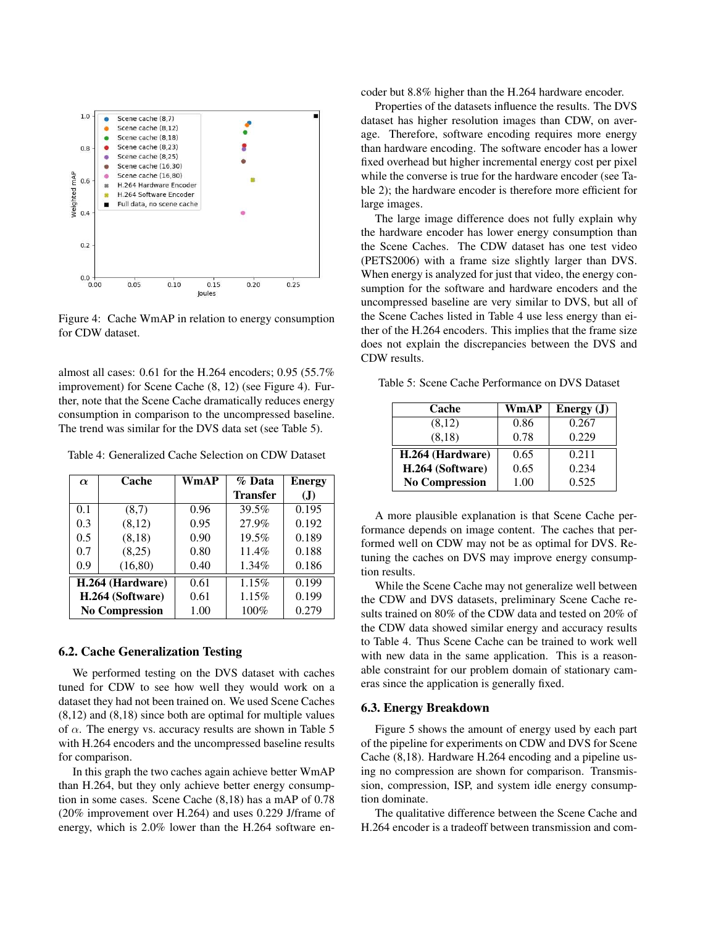

Figure 4: Cache WmAP in relation to energy consumption for CDW dataset.

almost all cases: 0.61 for the H.264 encoders; 0.95 (55.7% improvement) for Scene Cache (8, 12) (see Figure 4). Further, note that the Scene Cache dramatically reduces energy consumption in comparison to the uncompressed baseline. The trend was similar for the DVS data set (see Table 5).

Table 4: Generalized Cache Selection on CDW Dataset

| $\alpha$              | Cache    | WmAP | % Data          | <b>Energy</b> |
|-----------------------|----------|------|-----------------|---------------|
|                       |          |      | <b>Transfer</b> | (J)           |
| 0.1                   | (8,7)    | 0.96 | 39.5%           | 0.195         |
| 0.3                   | (8,12)   | 0.95 | 27.9%           | 0.192         |
| 0.5                   | (8,18)   | 0.90 | 19.5%           | 0.189         |
| 0.7                   | (8,25)   | 0.80 | 11.4%           | 0.188         |
| 0.9                   | (16, 80) | 0.40 | $1.34\%$        | 0.186         |
| H.264 (Hardware)      |          | 0.61 | 1.15%           | 0.199         |
| H.264 (Software)      |          | 0.61 | 1.15%           | 0.199         |
| <b>No Compression</b> |          | 1.00 | 100%            | 0.279         |

#### 6.2. Cache Generalization Testing

We performed testing on the DVS dataset with caches tuned for CDW to see how well they would work on a dataset they had not been trained on. We used Scene Caches (8,12) and (8,18) since both are optimal for multiple values of  $\alpha$ . The energy vs. accuracy results are shown in Table 5 with H.264 encoders and the uncompressed baseline results for comparison.

In this graph the two caches again achieve better WmAP than H.264, but they only achieve better energy consumption in some cases. Scene Cache (8,18) has a mAP of 0.78 (20% improvement over H.264) and uses 0.229 J/frame of energy, which is 2.0% lower than the H.264 software encoder but 8.8% higher than the H.264 hardware encoder.

Properties of the datasets influence the results. The DVS dataset has higher resolution images than CDW, on average. Therefore, software encoding requires more energy than hardware encoding. The software encoder has a lower fixed overhead but higher incremental energy cost per pixel while the converse is true for the hardware encoder (see Table 2); the hardware encoder is therefore more efficient for large images.

The large image difference does not fully explain why the hardware encoder has lower energy consumption than the Scene Caches. The CDW dataset has one test video (PETS2006) with a frame size slightly larger than DVS. When energy is analyzed for just that video, the energy consumption for the software and hardware encoders and the uncompressed baseline are very similar to DVS, but all of the Scene Caches listed in Table 4 use less energy than either of the H.264 encoders. This implies that the frame size does not explain the discrepancies between the DVS and CDW results.

Table 5: Scene Cache Performance on DVS Dataset

| Cache                 | WmAP | Energy $(J)$ |
|-----------------------|------|--------------|
| (8,12)                | 0.86 | 0.267        |
| (8,18)                | 0.78 | 0.229        |
| H.264 (Hardware)      | 0.65 | 0.211        |
| H.264 (Software)      | 0.65 | 0.234        |
| <b>No Compression</b> | 1.00 | 0.525        |

A more plausible explanation is that Scene Cache performance depends on image content. The caches that performed well on CDW may not be as optimal for DVS. Retuning the caches on DVS may improve energy consumption results.

While the Scene Cache may not generalize well between the CDW and DVS datasets, preliminary Scene Cache results trained on 80% of the CDW data and tested on 20% of the CDW data showed similar energy and accuracy results to Table 4. Thus Scene Cache can be trained to work well with new data in the same application. This is a reasonable constraint for our problem domain of stationary cameras since the application is generally fixed.

#### 6.3. Energy Breakdown

Figure 5 shows the amount of energy used by each part of the pipeline for experiments on CDW and DVS for Scene Cache (8,18). Hardware H.264 encoding and a pipeline using no compression are shown for comparison. Transmission, compression, ISP, and system idle energy consumption dominate.

The qualitative difference between the Scene Cache and H.264 encoder is a tradeoff between transmission and com-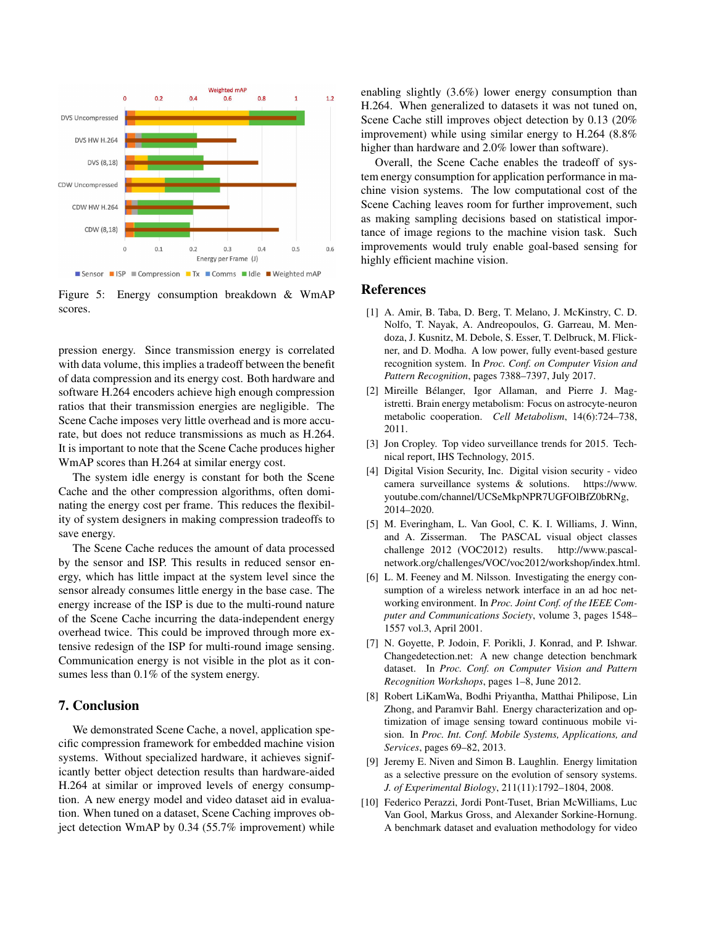

Figure 5: Energy consumption breakdown & WmAP scores.

pression energy. Since transmission energy is correlated with data volume, this implies a tradeoff between the benefit of data compression and its energy cost. Both hardware and software H.264 encoders achieve high enough compression ratios that their transmission energies are negligible. The Scene Cache imposes very little overhead and is more accurate, but does not reduce transmissions as much as H.264. It is important to note that the Scene Cache produces higher WmAP scores than H.264 at similar energy cost.

The system idle energy is constant for both the Scene Cache and the other compression algorithms, often dominating the energy cost per frame. This reduces the flexibility of system designers in making compression tradeoffs to save energy.

The Scene Cache reduces the amount of data processed by the sensor and ISP. This results in reduced sensor energy, which has little impact at the system level since the sensor already consumes little energy in the base case. The energy increase of the ISP is due to the multi-round nature of the Scene Cache incurring the data-independent energy overhead twice. This could be improved through more extensive redesign of the ISP for multi-round image sensing. Communication energy is not visible in the plot as it consumes less than  $0.1\%$  of the system energy.

## 7. Conclusion

We demonstrated Scene Cache, a novel, application specific compression framework for embedded machine vision systems. Without specialized hardware, it achieves significantly better object detection results than hardware-aided H.264 at similar or improved levels of energy consumption. A new energy model and video dataset aid in evaluation. When tuned on a dataset, Scene Caching improves object detection WmAP by 0.34 (55.7% improvement) while enabling slightly (3.6%) lower energy consumption than H.264. When generalized to datasets it was not tuned on, Scene Cache still improves object detection by 0.13 (20% improvement) while using similar energy to H.264 (8.8% higher than hardware and 2.0% lower than software).

Overall, the Scene Cache enables the tradeoff of system energy consumption for application performance in machine vision systems. The low computational cost of the Scene Caching leaves room for further improvement, such as making sampling decisions based on statistical importance of image regions to the machine vision task. Such improvements would truly enable goal-based sensing for highly efficient machine vision.

## References

- [1] A. Amir, B. Taba, D. Berg, T. Melano, J. McKinstry, C. D. Nolfo, T. Nayak, A. Andreopoulos, G. Garreau, M. Mendoza, J. Kusnitz, M. Debole, S. Esser, T. Delbruck, M. Flickner, and D. Modha. A low power, fully event-based gesture recognition system. In *Proc. Conf. on Computer Vision and Pattern Recognition*, pages 7388–7397, July 2017.
- [2] Mireille Bélanger, Igor Allaman, and Pierre J. Magistretti. Brain energy metabolism: Focus on astrocyte-neuron metabolic cooperation. *Cell Metabolism*, 14(6):724–738, 2011.
- [3] Jon Cropley. Top video surveillance trends for 2015. Technical report, IHS Technology, 2015.
- [4] Digital Vision Security, Inc. Digital vision security video camera surveillance systems & solutions. https://www. youtube.com/channel/UCSeMkpNPR7UGFOlBfZ0bRNg, 2014–2020.
- [5] M. Everingham, L. Van Gool, C. K. I. Williams, J. Winn, and A. Zisserman. The PASCAL visual object classes challenge 2012 (VOC2012) results. http://www.pascalnetwork.org/challenges/VOC/voc2012/workshop/index.html.
- [6] L. M. Feeney and M. Nilsson. Investigating the energy consumption of a wireless network interface in an ad hoc networking environment. In *Proc. Joint Conf. of the IEEE Computer and Communications Society*, volume 3, pages 1548– 1557 vol.3, April 2001.
- [7] N. Goyette, P. Jodoin, F. Porikli, J. Konrad, and P. Ishwar. Changedetection.net: A new change detection benchmark dataset. In *Proc. Conf. on Computer Vision and Pattern Recognition Workshops*, pages 1–8, June 2012.
- [8] Robert LiKamWa, Bodhi Priyantha, Matthai Philipose, Lin Zhong, and Paramvir Bahl. Energy characterization and optimization of image sensing toward continuous mobile vision. In *Proc. Int. Conf. Mobile Systems, Applications, and Services*, pages 69–82, 2013.
- [9] Jeremy E. Niven and Simon B. Laughlin. Energy limitation as a selective pressure on the evolution of sensory systems. *J. of Experimental Biology*, 211(11):1792–1804, 2008.
- [10] Federico Perazzi, Jordi Pont-Tuset, Brian McWilliams, Luc Van Gool, Markus Gross, and Alexander Sorkine-Hornung. A benchmark dataset and evaluation methodology for video